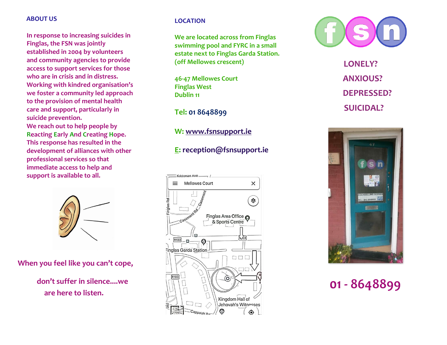#### **ABOUT US**

**In response to increasing suicides in Finglas, the FSN was jointly established in 2004 by volunteers and community agencies to provide access to support services for those who are in crisis and in distress. Working with kindred organisation's we foster a community led approach to the provision of mental health care and support, particularly in suicide prevention.**

**We reach out to help people by Reacting Early And Creating Hope. This response has resulted in the development of alliances with other professional services so that immediate access to help and support is available to all.**



 **When you feel like you can't cope,**

 **don't suffer in silence....we are here to listen.**

## **LOCATION**

**We are located across from Finglas swimming pool and FYRC in a small estate next to Finglas Garda Station. (off Mellowes crescent)**

**46-47 Mellowes Court Finglas West Dublin 11**

**Tel: 01 8648899**

**W: [www.fsnsupport.ie](http://www.fsnsupport.ie/)**

# **E: [reception@fsnsupport.ie](mailto:reception@fsnsupport.ie)**





 **LONELY? ANXIOUS? DEPRESSED? SUICIDAL?**



 **01 - 8648899**